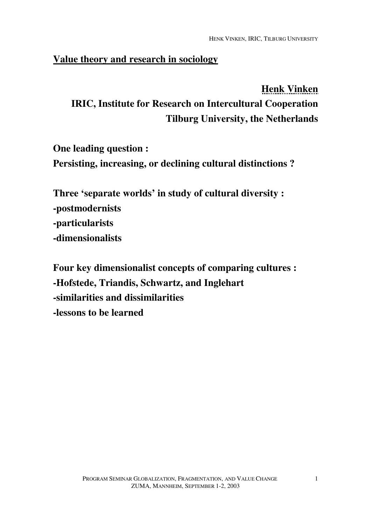#### **Value theory and research in sociology**

# **Henk Vinken IRIC, Institute for Research on Intercultural Cooperation Tilburg University, the Netherlands**

**One leading question : Persisting, increasing, or declining cultural distinctions ?**

**Three 'separate worlds' in study of cultural diversity : -postmodernists -particularists -dimensionalists**

**Four key dimensionalist concepts of comparing cultures : -Hofstede, Triandis, Schwartz, and Inglehart -similarities and dissimilarities -lessons to be learned**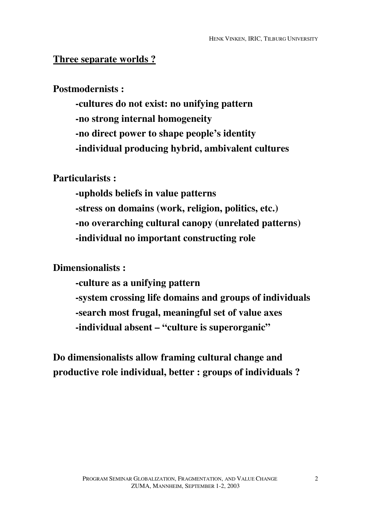#### **Three separate worlds ?**

#### **Postmodernists :**

**-cultures do not exist: no unifying pattern -no strong internal homogeneity -no direct power to shape people's identity -individual producing hybrid, ambivalent cultures**

**Particularists :**

**-upholds beliefs in value patterns -stress on domains (work, religion, politics, etc.) -no overarching cultural canopy (unrelated patterns) -individual no important constructing role**

#### **Dimensionalists :**

**-culture as a unifying pattern -system crossing life domains and groups of individuals -search most frugal, meaningful set of value axes -individual absent – "culture is superorganic"**

**Do dimensionalists allow framing cultural change and productive role individual, better : groups of individuals ?**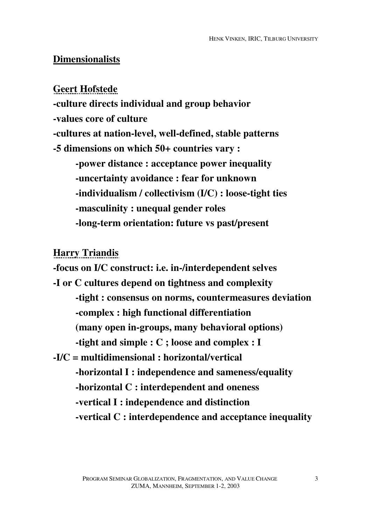#### **Dimensionalists**

**Geert Hofstede**

**-culture directs individual and group behavior**

**-values core of culture**

**-cultures at nation-level, well-defined, stable patterns**

**-5 dimensions on which 50+ countries vary :**

**-power distance : acceptance power inequality -uncertainty avoidance : fear for unknown -individualism / collectivism (I/C) : loose-tight ties -masculinity : unequal gender roles -long-term orientation: future vs past/present**

**Harry Triandis**

**-focus on I/C construct: i.e. in-/interdependent selves -I or C cultures depend on tightness and complexity -tight : consensus on norms, countermeasures deviation -complex : high functional differentiation (many open in-groups, many behavioral options) -tight and simple : C ; loose and complex : I -I/C = multidimensional : horizontal/vertical -horizontal I : independence and sameness/equality -horizontal C : interdependent and oneness -vertical I : independence and distinction -vertical C : interdependence and acceptance inequality**

3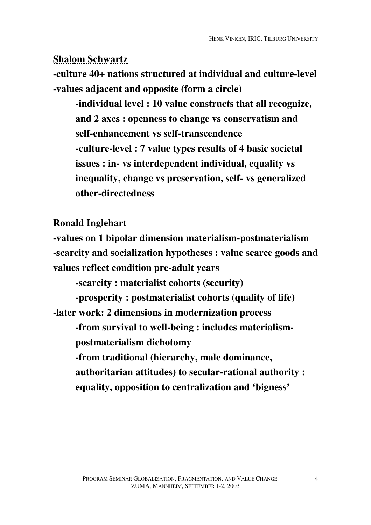## **Shalom Schwartz**

**-culture 40+ nations structured at individual and culture-level -values adjacent and opposite (form a circle)**

**-individual level : 10 value constructs that all recognize, and 2 axes : openness to change vs conservatism and self-enhancement vs self-transcendence -culture-level : 7 value types results of 4 basic societal issues : in- vs interdependent individual, equality vs inequality, change vs preservation, self- vs generalized other-directedness**

### **Ronald Inglehart**

**-values on 1 bipolar dimension materialism-postmaterialism -scarcity and socialization hypotheses : value scarce goods and values reflect condition pre-adult years**

**-scarcity : materialist cohorts (security)**

**-prosperity : postmaterialist cohorts (quality of life) -later work: 2 dimensions in modernization process**

**-from survival to well-being : includes materialismpostmaterialism dichotomy**

**-from traditional (hierarchy, male dominance, authoritarian attitudes) to secular-rational authority : equality, opposition to centralization and 'bigness'**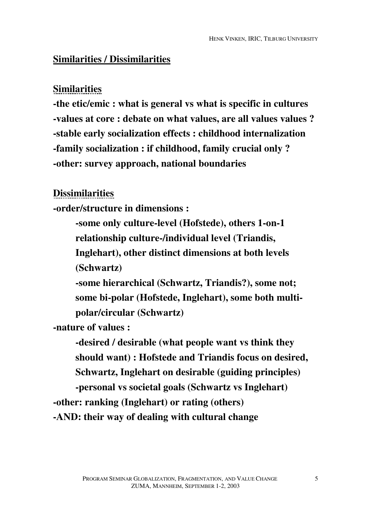### **Similarities / Dissimilarities**

### **Similarities**

**-the etic/emic : what is general vs what is specific in cultures -values at core : debate on what values, are all values values ? -stable early socialization effects : childhood internalization -family socialization : if childhood, family crucial only ? -other: survey approach, national boundaries**

### **Dissimilarities**

**-order/structure in dimensions :**

**-some only culture-level (Hofstede), others 1-on-1 relationship culture-/individual level (Triandis,**

**Inglehart), other distinct dimensions at both levels (Schwartz)**

**-some hierarchical (Schwartz, Triandis?), some not; some bi-polar (Hofstede, Inglehart), some both multipolar/circular (Schwartz)**

**-nature of values :**

**-desired / desirable (what people want vs think they should want) : Hofstede and Triandis focus on desired, Schwartz, Inglehart on desirable (guiding principles) -personal vs societal goals (Schwartz vs Inglehart) -other: ranking (Inglehart) or rating (others) -AND: their way of dealing with cultural change**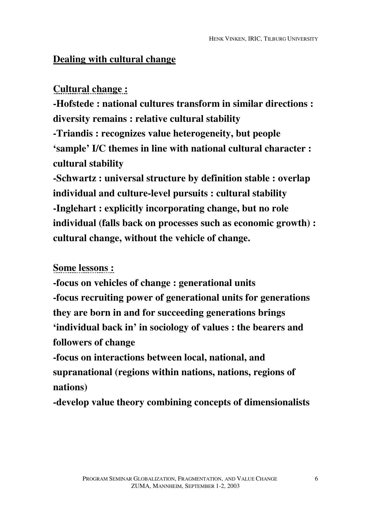### **Dealing with cultural change**

### **Cultural change :**

**-Hofstede : national cultures transform in similar directions : diversity remains : relative cultural stability -Triandis : recognizes value heterogeneity, but people 'sample' I/C themes in line with national cultural character : cultural stability**

**-Schwartz : universal structure by definition stable : overlap individual and culture-level pursuits : cultural stability -Inglehart : explicitly incorporating change, but no role individual (falls back on processes such as economic growth) : cultural change, without the vehicle of change.**

### **Some lessons :**

**-focus on vehicles of change : generational units -focus recruiting power of generational units for generations they are born in and for succeeding generations brings 'individual back in' in sociology of values : the bearers and followers of change**

**-focus on interactions between local, national, and supranational (regions within nations, nations, regions of nations)**

**-develop value theory combining concepts of dimensionalists**